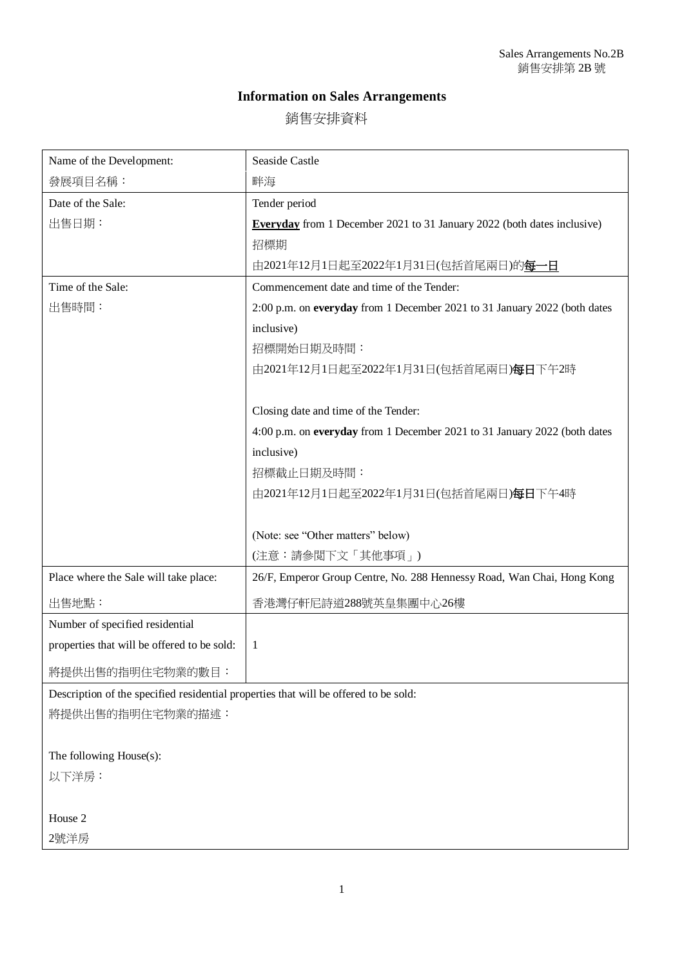## **Information on Sales Arrangements**

銷售安排資料

| Name of the Development:                                                             | Seaside Castle                                                                 |
|--------------------------------------------------------------------------------------|--------------------------------------------------------------------------------|
| 發展項目名稱:                                                                              | 畔海                                                                             |
| Date of the Sale:                                                                    | Tender period                                                                  |
| 出售日期:                                                                                | <b>Everyday</b> from 1 December 2021 to 31 January 2022 (both dates inclusive) |
|                                                                                      | 招標期                                                                            |
|                                                                                      | 由2021年12月1日起至2022年1月31日(包括首尾兩日)的每一日                                            |
| Time of the Sale:                                                                    | Commencement date and time of the Tender:                                      |
| 出售時間:                                                                                | 2:00 p.m. on everyday from 1 December 2021 to 31 January 2022 (both dates      |
|                                                                                      | inclusive)                                                                     |
|                                                                                      | 招標開始日期及時間:                                                                     |
|                                                                                      | 由2021年12月1日起至2022年1月31日(包括首尾兩日) <b>每日</b> 下午2時                                 |
|                                                                                      |                                                                                |
|                                                                                      | Closing date and time of the Tender:                                           |
|                                                                                      | 4:00 p.m. on everyday from 1 December 2021 to 31 January 2022 (both dates      |
|                                                                                      | inclusive)                                                                     |
|                                                                                      | 招標截止日期及時間:                                                                     |
|                                                                                      | 由2021年12月1日起至2022年1月31日(包括首尾兩日) <b>每日</b> 下午4時                                 |
|                                                                                      |                                                                                |
|                                                                                      | (Note: see "Other matters" below)                                              |
|                                                                                      | (注意:請參閲下文「其他事項」)                                                               |
| Place where the Sale will take place:                                                | 26/F, Emperor Group Centre, No. 288 Hennessy Road, Wan Chai, Hong Kong         |
| 出售地點:                                                                                | 香港灣仔軒尼詩道288號英皇集團中心26樓                                                          |
| Number of specified residential                                                      |                                                                                |
| properties that will be offered to be sold:                                          | 1                                                                              |
| 將提供出售的指明住宅物業的數目:                                                                     |                                                                                |
| Description of the specified residential properties that will be offered to be sold: |                                                                                |
| 將提供出售的指明住宅物業的描述:                                                                     |                                                                                |
|                                                                                      |                                                                                |
| The following House(s):                                                              |                                                                                |
| 以下洋房:                                                                                |                                                                                |
|                                                                                      |                                                                                |

House 2

2號洋房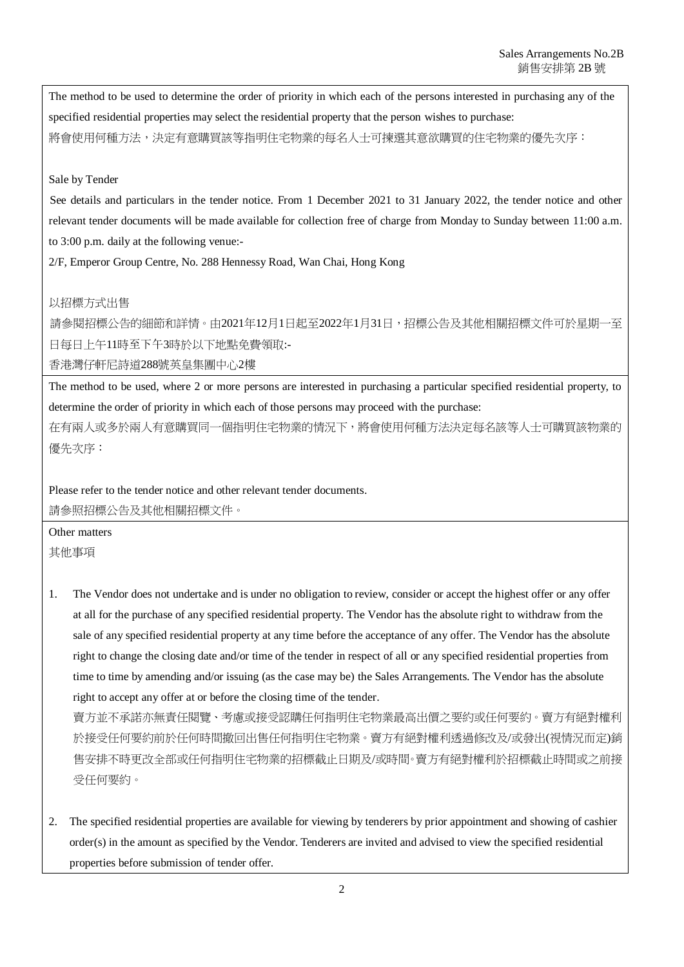The method to be used to determine the order of priority in which each of the persons interested in purchasing any of the specified residential properties may select the residential property that the person wishes to purchase: 將會使用何種方法,決定有意購買該等指明住宅物業的每名人士可揀選其意欲購買的住宅物業的優先次序:

## Sale by Tender

See details and particulars in the tender notice. From 1 December 2021 to 31 January 2022, the tender notice and other relevant tender documents will be made available for collection free of charge from Monday to Sunday between 11:00 a.m. to 3:00 p.m. daily at the following venue:-

2/F, Emperor Group Centre, No. 288 Hennessy Road, Wan Chai, Hong Kong

## 以招標方式出售

請參閱招標公告的細節和詳情。由2021年12月1日起至2022年1月31日,招標公告及其他相關招標文件可於星期一至 日每日上午11時至下午3時於以下地點免費領取:-

香港灣仔軒尼詩道288號英皇集團中心2樓

The method to be used, where 2 or more persons are interested in purchasing a particular specified residential property, to determine the order of priority in which each of those persons may proceed with the purchase:

在有兩人或多於兩人有意購買同一個指明住宅物業的情況下,將會使用何種方法決定每名該等人士可購買該物業的 優先次序:

Please refer to the tender notice and other relevant tender documents. 請參照招標公告及其他相關招標文件。

Other matters 其他事項

1. The Vendor does not undertake and is under no obligation to review, consider or accept the highest offer or any offer at all for the purchase of any specified residential property. The Vendor has the absolute right to withdraw from the sale of any specified residential property at any time before the acceptance of any offer. The Vendor has the absolute right to change the closing date and/or time of the tender in respect of all or any specified residential properties from time to time by amending and/or issuing (as the case may be) the Sales Arrangements. The Vendor has the absolute right to accept any offer at or before the closing time of the tender.

賣方並不承諾亦無責任閱覽、考慮或接受認購任何指明住宅物業最高出價之要約或任何要約。賣方有絕對權利 於接受任何要約前於任何時間撤回出售任何指明住宅物業。賣方有絕對權利透過修改及/或發出(視情況而定)銷 售安排不時更改全部或任何指明住宅物業的招標截止日期及/或時間。賣方有絕對權利於招標截止時間或之前接 受任何要約。

2. The specified residential properties are available for viewing by tenderers by prior appointment and showing of cashier order(s) in the amount as specified by the Vendor. Tenderers are invited and advised to view the specified residential properties before submission of tender offer.